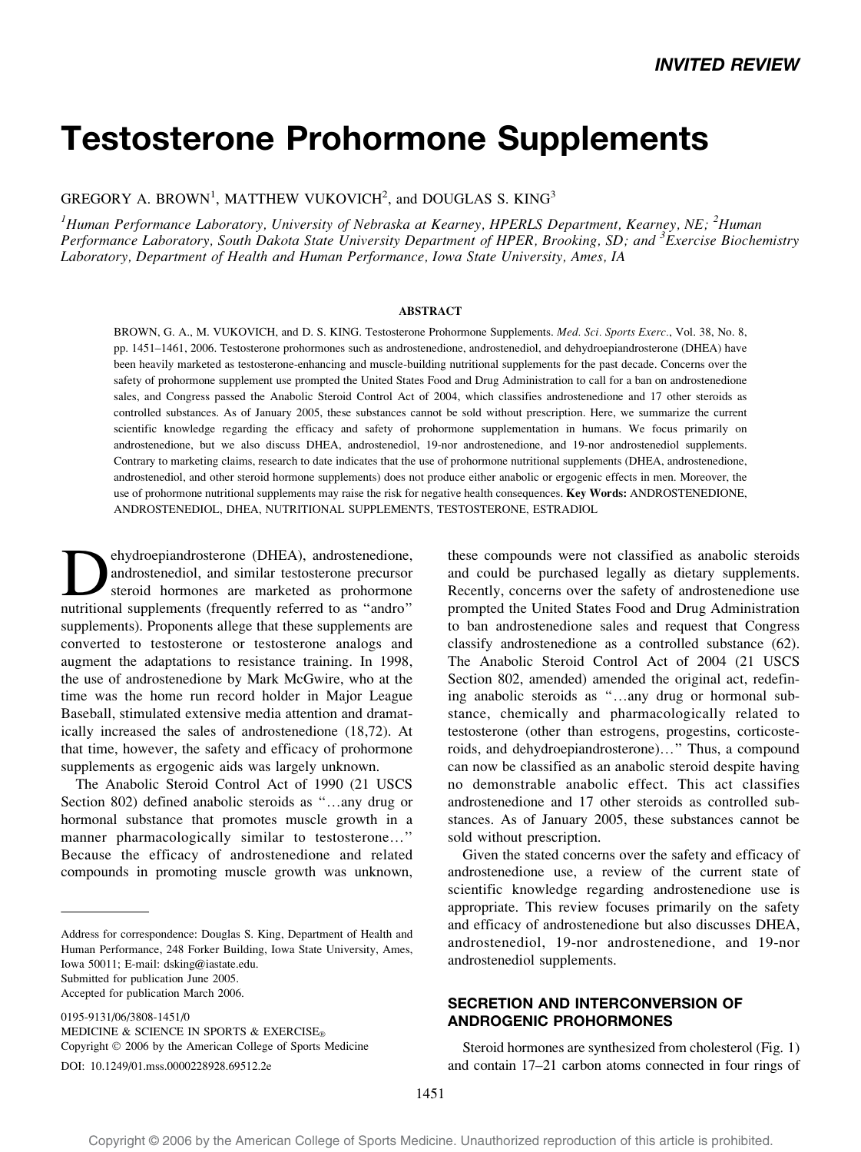# Testosterone Prohormone Supplements

GREGORY A. BROWN<sup>1</sup>, MATTHEW VUKOVICH<sup>2</sup>, and DOUGLAS S. KING<sup>3</sup>

<sup>1</sup>Human Performance Laboratory, University of Nebraska at Kearney, HPERLS Department, Kearney, NE; <sup>2</sup>Human Performance Laboratory, South Dakota State University Department of HPER, Brooking, SD; and <sup>3</sup>Exercise Biochemistry Laboratory, Department of Health and Human Performance, Iowa State University, Ames, IA

#### ABSTRACT

BROWN, G. A., M. VUKOVICH, and D. S. KING. Testosterone Prohormone Supplements. Med. Sci. Sports Exerc., Vol. 38, No. 8, pp. 1451–1461, 2006. Testosterone prohormones such as androstenedione, androstenediol, and dehydroepiandrosterone (DHEA) have been heavily marketed as testosterone-enhancing and muscle-building nutritional supplements for the past decade. Concerns over the safety of prohormone supplement use prompted the United States Food and Drug Administration to call for a ban on androstenedione sales, and Congress passed the Anabolic Steroid Control Act of 2004, which classifies androstenedione and 17 other steroids as controlled substances. As of January 2005, these substances cannot be sold without prescription. Here, we summarize the current scientific knowledge regarding the efficacy and safety of prohormone supplementation in humans. We focus primarily on androstenedione, but we also discuss DHEA, androstenediol, 19-nor androstenedione, and 19-nor androstenediol supplements. Contrary to marketing claims, research to date indicates that the use of prohormone nutritional supplements (DHEA, androstenedione, androstenediol, and other steroid hormone supplements) does not produce either anabolic or ergogenic effects in men. Moreover, the use of prohormone nutritional supplements may raise the risk for negative health consequences. Key Words: ANDROSTENEDIONE, ANDROSTENEDIOL, DHEA, NUTRITIONAL SUPPLEMENTS, TESTOSTERONE, ESTRADIOL

**Dehydroepiandrosterone (DHEA), androstenedione,**<br>androstenediol, and similar testosterone precursor<br>steroid hormones are marketed as prohormone<br>nutritional supplements (frequently referred to as "andro") androstenediol, and similar testosterone precursor steroid hormones are marketed as prohormone nutritional supplements (frequently referred to as "andro" supplements). Proponents allege that these supplements are converted to testosterone or testosterone analogs and augment the adaptations to resistance training. In 1998, the use of androstenedione by Mark McGwire, who at the time was the home run record holder in Major League Baseball, stimulated extensive media attention and dramatically increased the sales of androstenedione (18,72). At that time, however, the safety and efficacy of prohormone supplements as ergogenic aids was largely unknown.

The Anabolic Steroid Control Act of 1990 (21 USCS Section 802) defined anabolic steroids as "...any drug or hormonal substance that promotes muscle growth in a manner pharmacologically similar to testosterone..." Because the efficacy of androstenedione and related compounds in promoting muscle growth was unknown,

Accepted for publication March 2006.

0195-9131/06/3808-1451/0 MEDICINE & SCIENCE IN SPORTS & EXERCISE® Copyright © 2006 by the American College of Sports Medicine DOI: 10.1249/01.mss.0000228928.69512.2e

these compounds were not classified as anabolic steroids and could be purchased legally as dietary supplements. Recently, concerns over the safety of androstenedione use prompted the United States Food and Drug Administration to ban androstenedione sales and request that Congress classify androstenedione as a controlled substance (62). The Anabolic Steroid Control Act of 2004 (21 USCS Section 802, amended) amended the original act, redefining anabolic steroids as "...any drug or hormonal substance, chemically and pharmacologically related to testosterone (other than estrogens, progestins, corticosteroids, and dehydroepiandrosterone)..." Thus, a compound can now be classified as an anabolic steroid despite having no demonstrable anabolic effect. This act classifies androstenedione and 17 other steroids as controlled substances. As of January 2005, these substances cannot be sold without prescription.

Given the stated concerns over the safety and efficacy of androstenedione use, a review of the current state of scientific knowledge regarding androstenedione use is appropriate. This review focuses primarily on the safety and efficacy of androstenedione but also discusses DHEA, androstenediol, 19-nor androstenedione, and 19-nor androstenediol supplements.

# SECRETION AND INTERCONVERSION OF ANDROGENIC PROHORMONES

Steroid hormones are synthesized from cholesterol (Fig. 1) and contain 17–21 carbon atoms connected in four rings of

1451

Address for correspondence: Douglas S. King, Department of Health and Human Performance, 248 Forker Building, Iowa State University, Ames, Iowa 50011; E-mail: dsking@iastate.edu. Submitted for publication June 2005.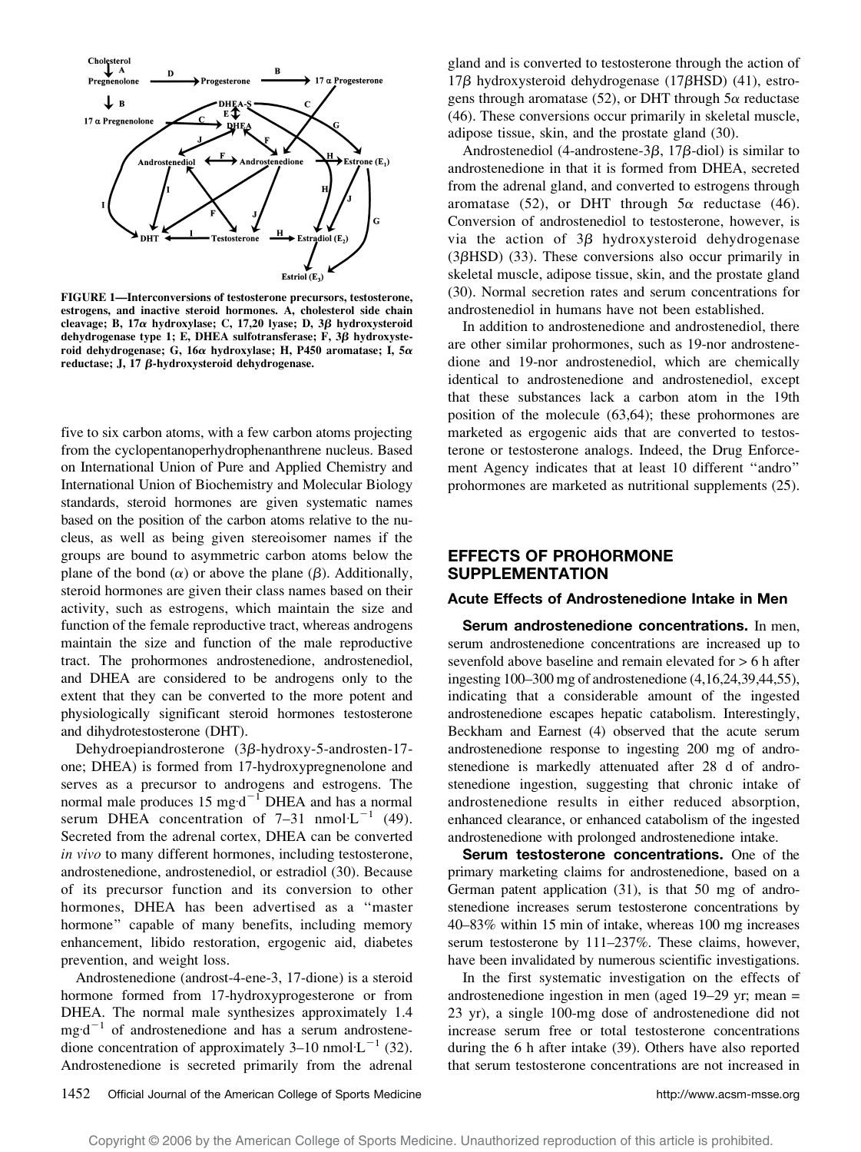

FIGURE 1—Interconversions of testosterone precursors, testosterone, estrogens, and inactive steroid hormones. A, cholesterol side chain cleavage; B, 17 $\alpha$  hydroxylase; C, 17,20 lyase; D, 3 $\beta$  hydroxysteroid dehydrogenase type 1; E, DHEA sulfotransferase; F, 3 $\beta$  hydroxysteroid dehydrogenase; G, 16 $\alpha$  hydroxylase; H, P450 aromatase; I, 5 $\alpha$ reductase; J, 17  $\beta$ -hydroxysteroid dehydrogenase.

five to six carbon atoms, with a few carbon atoms projecting from the cyclopentanoperhydrophenanthrene nucleus. Based on International Union of Pure and Applied Chemistry and International Union of Biochemistry and Molecular Biology standards, steroid hormones are given systematic names based on the position of the carbon atoms relative to the nucleus, as well as being given stereoisomer names if the groups are bound to asymmetric carbon atoms below the plane of the bond  $(\alpha)$  or above the plane  $(\beta)$ . Additionally, steroid hormones are given their class names based on their activity, such as estrogens, which maintain the size and function of the female reproductive tract, whereas androgens maintain the size and function of the male reproductive tract. The prohormones androstenedione, androstenediol, and DHEA are considered to be androgens only to the extent that they can be converted to the more potent and physiologically significant steroid hormones testosterone and dihydrotestosterone (DHT).

Dehydroepiandrosterone (3ß-hydroxy-5-androsten-17one; DHEA) is formed from 17-hydroxypregnenolone and serves as a precursor to androgens and estrogens. The normal male produces 15 mg·d<sup> $-I$ </sup> DHEA and has a normal serum DHEA concentration of  $7-31$  nmol $L^{-1}$  (49). Secreted from the adrenal cortex, DHEA can be converted in vivo to many different hormones, including testosterone, androstenedione, androstenediol, or estradiol (30). Because of its precursor function and its conversion to other hormones, DHEA has been advertised as a ''master hormone" capable of many benefits, including memory enhancement, libido restoration, ergogenic aid, diabetes prevention, and weight loss.

Androstenedione (androst-4-ene-3, 17-dione) is a steroid hormone formed from 17-hydroxyprogesterone or from DHEA. The normal male synthesizes approximately 1.4  $mg\,d^{-1}$  of androstenedione and has a serum androstenedione concentration of approximately  $3-10$  nmol $L^{-1}$  (32). Androstenedione is secreted primarily from the adrenal gland and is converted to testosterone through the action of 17 $\beta$  hydroxysteroid dehydrogenase (17 $\beta$ HSD) (41), estrogens through aromatase (52), or DHT through  $5\alpha$  reductase (46). These conversions occur primarily in skeletal muscle, adipose tissue, skin, and the prostate gland (30).

Androstenediol (4-androstene-3 $\beta$ , 17 $\beta$ -diol) is similar to androstenedione in that it is formed from DHEA, secreted from the adrenal gland, and converted to estrogens through aromatase (52), or DHT through  $5\alpha$  reductase (46). Conversion of androstenediol to testosterone, however, is via the action of  $3\beta$  hydroxysteroid dehydrogenase  $(3\beta HSD)$  (33). These conversions also occur primarily in skeletal muscle, adipose tissue, skin, and the prostate gland (30). Normal secretion rates and serum concentrations for androstenediol in humans have not been established.

In addition to androstenedione and androstenediol, there are other similar prohormones, such as 19-nor androstenedione and 19-nor androstenediol, which are chemically identical to androstenedione and androstenediol, except that these substances lack a carbon atom in the 19th position of the molecule (63,64); these prohormones are marketed as ergogenic aids that are converted to testosterone or testosterone analogs. Indeed, the Drug Enforcement Agency indicates that at least 10 different ''andro'' prohormones are marketed as nutritional supplements (25).

# EFFECTS OF PROHORMONE SUPPLEMENTATION

#### Acute Effects of Androstenedione Intake in Men

Serum androstenedione concentrations. In men, serum androstenedione concentrations are increased up to sevenfold above baseline and remain elevated for > 6 h after ingesting 100–300 mg of androstenedione (4,16,24,39,44,55), indicating that a considerable amount of the ingested androstenedione escapes hepatic catabolism. Interestingly, Beckham and Earnest (4) observed that the acute serum androstenedione response to ingesting 200 mg of androstenedione is markedly attenuated after 28 d of androstenedione ingestion, suggesting that chronic intake of androstenedione results in either reduced absorption, enhanced clearance, or enhanced catabolism of the ingested androstenedione with prolonged androstenedione intake.

Serum testosterone concentrations. One of the primary marketing claims for androstenedione, based on a German patent application (31), is that 50 mg of androstenedione increases serum testosterone concentrations by 40–83% within 15 min of intake, whereas 100 mg increases serum testosterone by 111–237%. These claims, however, have been invalidated by numerous scientific investigations.

In the first systematic investigation on the effects of androstenedione ingestion in men (aged 19–29 yr; mean = 23 yr), a single 100-mg dose of androstenedione did not increase serum free or total testosterone concentrations during the 6 h after intake (39). Others have also reported that serum testosterone concentrations are not increased in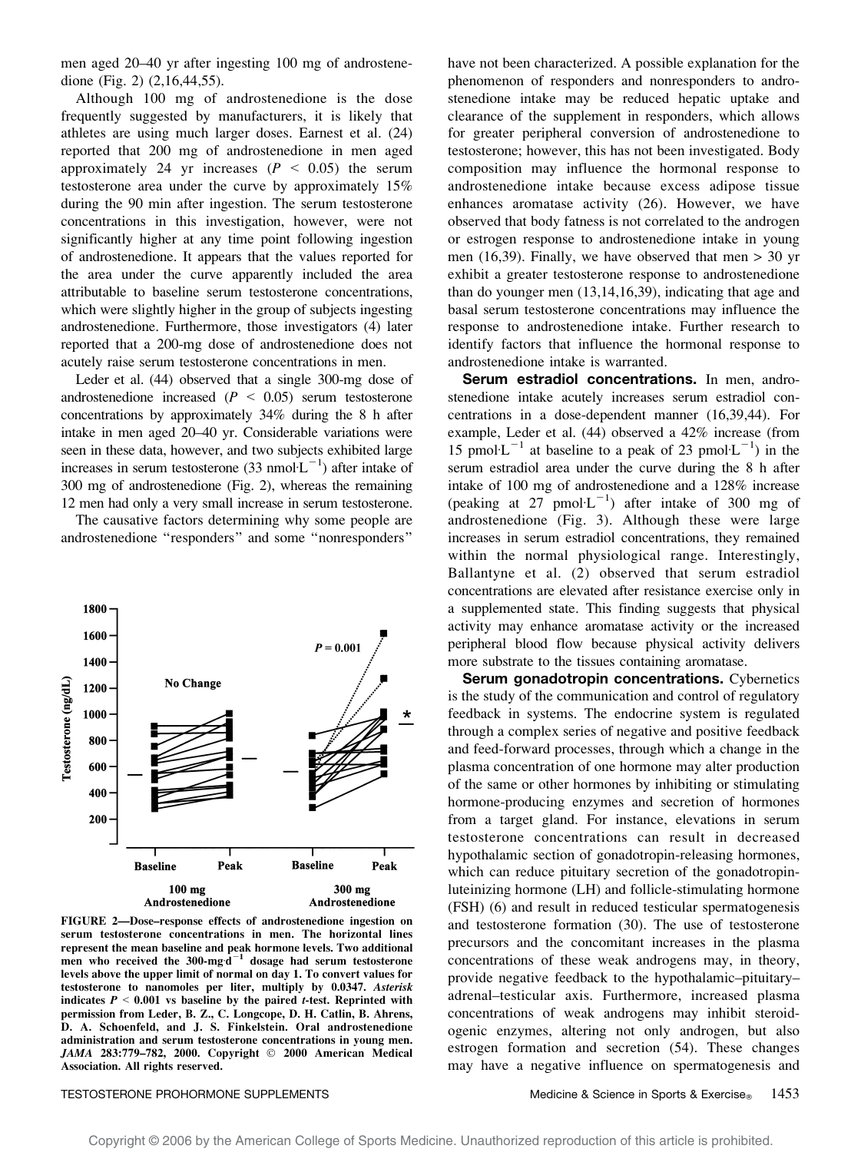men aged 20–40 yr after ingesting 100 mg of androstenedione (Fig. 2) (2,16,44,55).

Although 100 mg of androstenedione is the dose frequently suggested by manufacturers, it is likely that athletes are using much larger doses. Earnest et al. (24) reported that 200 mg of androstenedione in men aged approximately 24 yr increases  $(P < 0.05)$  the serum testosterone area under the curve by approximately 15% during the 90 min after ingestion. The serum testosterone concentrations in this investigation, however, were not significantly higher at any time point following ingestion of androstenedione. It appears that the values reported for the area under the curve apparently included the area attributable to baseline serum testosterone concentrations, which were slightly higher in the group of subjects ingesting androstenedione. Furthermore, those investigators (4) later reported that a 200-mg dose of androstenedione does not acutely raise serum testosterone concentrations in men.

Leder et al. (44) observed that a single 300-mg dose of androstenedione increased ( $P < 0.05$ ) serum testosterone concentrations by approximately 34% during the 8 h after intake in men aged 20–40 yr. Considerable variations were seen in these data, however, and two subjects exhibited large increases in serum testosterone (33 nmol $L^{-1}$ ) after intake of 300 mg of androstenedione (Fig. 2), whereas the remaining 12 men had only a very small increase in serum testosterone.

The causative factors determining why some people are androstenedione ''responders'' and some ''nonresponders''



FIGURE 2—Dose–response effects of androstenedione ingestion on serum testosterone concentrations in men. The horizontal lines represent the mean baseline and peak hormone levels. Two additional men who received the  $300$ -mg $d^{-1}$  dosage had serum testosterone levels above the upper limit of normal on day 1. To convert values for testosterone to nanomoles per liter, multiply by 0.0347. Asterisk indicates  $P < 0.001$  vs baseline by the paired t-test. Reprinted with permission from Leder, B. Z., C. Longcope, D. H. Catlin, B. Ahrens, D. A. Schoenfeld, and J. S. Finkelstein. Oral androstenedione administration and serum testosterone concentrations in young men. JAMA 283:779-782, 2000. Copyright © 2000 American Medical Association. All rights reserved.

have not been characterized. A possible explanation for the phenomenon of responders and nonresponders to androstenedione intake may be reduced hepatic uptake and clearance of the supplement in responders, which allows for greater peripheral conversion of androstenedione to testosterone; however, this has not been investigated. Body composition may influence the hormonal response to androstenedione intake because excess adipose tissue enhances aromatase activity (26). However, we have observed that body fatness is not correlated to the androgen or estrogen response to androstenedione intake in young men (16,39). Finally, we have observed that men  $> 30$  yr exhibit a greater testosterone response to androstenedione than do younger men (13,14,16,39), indicating that age and basal serum testosterone concentrations may influence the response to androstenedione intake. Further research to identify factors that influence the hormonal response to androstenedione intake is warranted.

Serum estradiol concentrations. In men, androstenedione intake acutely increases serum estradiol concentrations in a dose-dependent manner (16,39,44). For example, Leder et al. (44) observed a 42% increase (from 15 pmol $L^{-1}$  at baseline to a peak of 23 pmol $L^{-1}$ ) in the serum estradiol area under the curve during the 8 h after intake of 100 mg of androstenedione and a 128% increase (peaking at  $27$  pmol $L^{-1}$ ) after intake of 300 mg of androstenedione (Fig. 3). Although these were large increases in serum estradiol concentrations, they remained within the normal physiological range. Interestingly, Ballantyne et al. (2) observed that serum estradiol concentrations are elevated after resistance exercise only in a supplemented state. This finding suggests that physical activity may enhance aromatase activity or the increased peripheral blood flow because physical activity delivers more substrate to the tissues containing aromatase.

Serum gonadotropin concentrations. Cybernetics is the study of the communication and control of regulatory feedback in systems. The endocrine system is regulated through a complex series of negative and positive feedback and feed-forward processes, through which a change in the plasma concentration of one hormone may alter production of the same or other hormones by inhibiting or stimulating hormone-producing enzymes and secretion of hormones from a target gland. For instance, elevations in serum testosterone concentrations can result in decreased hypothalamic section of gonadotropin-releasing hormones, which can reduce pituitary secretion of the gonadotropinluteinizing hormone (LH) and follicle-stimulating hormone (FSH) (6) and result in reduced testicular spermatogenesis and testosterone formation (30). The use of testosterone precursors and the concomitant increases in the plasma concentrations of these weak androgens may, in theory, provide negative feedback to the hypothalamic–pituitary– adrenal–testicular axis. Furthermore, increased plasma concentrations of weak androgens may inhibit steroidogenic enzymes, altering not only androgen, but also estrogen formation and secretion (54). These changes may have a negative influence on spermatogenesis and

#### TESTOSTERONE PROHORMONE SUPPLEMENTS TESTOSTERONE IN Medicine & Science in Sports & Exercise<sub>®</sub> 1453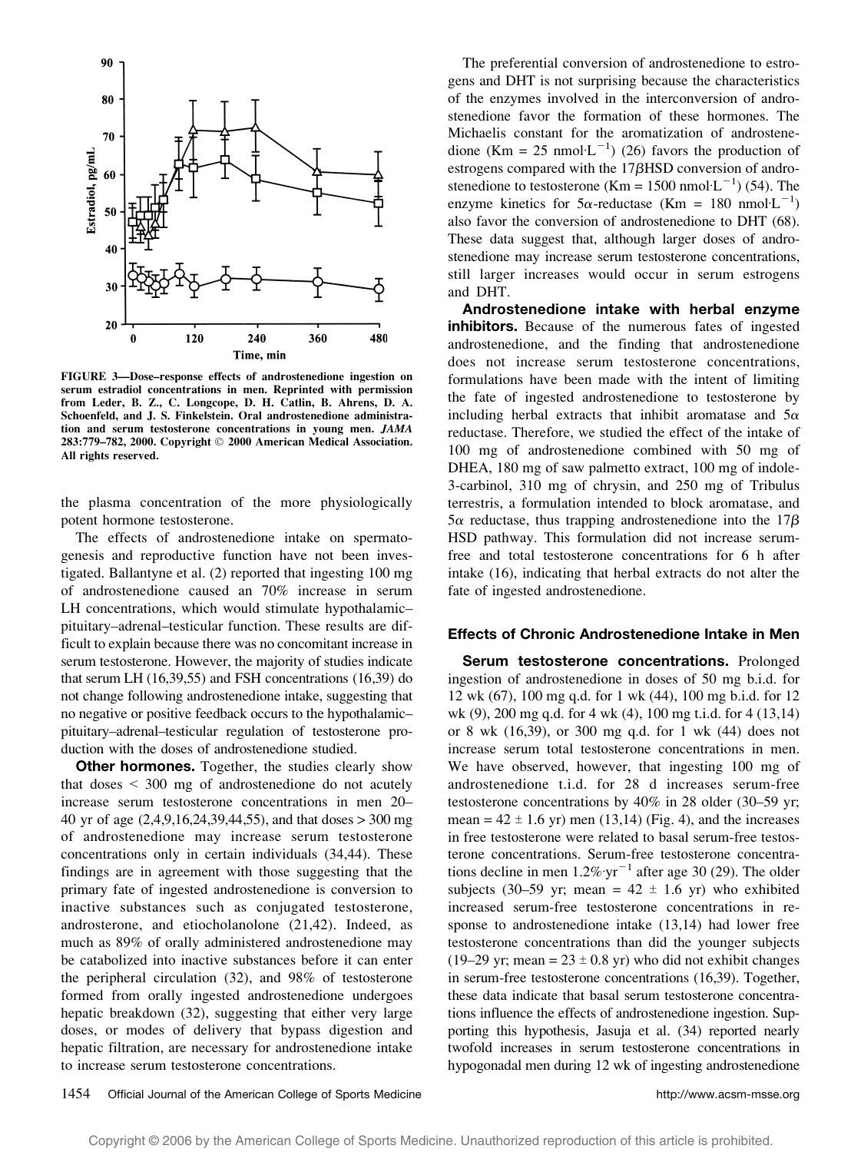

FIGURE 3—Dose–response effects of androstenedione ingestion on serum estradiol concentrations in men. Reprinted with permission from Leder, B. Z., C. Longcope, D. H. Catlin, B. Ahrens, D. A. Schoenfeld, and J. S. Finkelstein. Oral androstenedione administration and serum testosterone concentrations in young men. JAMA 283:779-782, 2000. Copyright © 2000 American Medical Association. All rights reserved.

the plasma concentration of the more physiologically potent hormone testosterone.

The effects of androstenedione intake on spermatogenesis and reproductive function have not been investigated. Ballantyne et al. (2) reported that ingesting 100 mg of androstenedione caused an 70% increase in serum LH concentrations, which would stimulate hypothalamic– pituitary–adrenal–testicular function. These results are difficult to explain because there was no concomitant increase in serum testosterone. However, the majority of studies indicate that serum LH (16,39,55) and FSH concentrations (16,39) do not change following androstenedione intake, suggesting that no negative or positive feedback occurs to the hypothalamic– pituitary–adrenal–testicular regulation of testosterone production with the doses of androstenedione studied.

**Other hormones.** Together, the studies clearly show that doses  $\leq$  300 mg of androstenedione do not acutely increase serum testosterone concentrations in men 20– 40 yr of age (2,4,9,16,24,39,44,55), and that doses > 300 mg of androstenedione may increase serum testosterone concentrations only in certain individuals (34,44). These findings are in agreement with those suggesting that the primary fate of ingested androstenedione is conversion to inactive substances such as conjugated testosterone, androsterone, and etiocholanolone (21,42). Indeed, as much as 89% of orally administered androstenedione may be catabolized into inactive substances before it can enter the peripheral circulation (32), and 98% of testosterone formed from orally ingested androstenedione undergoes hepatic breakdown (32), suggesting that either very large doses, or modes of delivery that bypass digestion and hepatic filtration, are necessary for androstenedione intake to increase serum testosterone concentrations.

The preferential conversion of androstenedione to estrogens and DHT is not surprising because the characteristics of the enzymes involved in the interconversion of androstenedione favor the formation of these hormones. The Michaelis constant for the aromatization of androstenedione (Km = 25 nmol·L<sup>-1</sup>) (26) favors the production of estrogens compared with the  $17\beta$ HSD conversion of androstenedione to testosterone (Km = 1500 nmol·L<sup>-1</sup>) (54). The enzyme kinetics for 5 $\alpha$ -reductase (Km = 180 nmol·L<sup>-1</sup>) also favor the conversion of androstenedione to DHT (68). These data suggest that, although larger doses of androstenedione may increase serum testosterone concentrations, still larger increases would occur in serum estrogens and DHT.

Androstenedione intake with herbal enzyme **inhibitors.** Because of the numerous fates of ingested androstenedione, and the finding that androstenedione does not increase serum testosterone concentrations, formulations have been made with the intent of limiting the fate of ingested androstenedione to testosterone by including herbal extracts that inhibit aromatase and  $5\alpha$ reductase. Therefore, we studied the effect of the intake of 100 mg of androstenedione combined with 50 mg of DHEA, 180 mg of saw palmetto extract, 100 mg of indole-3-carbinol, 310 mg of chrysin, and 250 mg of Tribulus terrestris, a formulation intended to block aromatase, and  $5\alpha$  reductase, thus trapping androstenedione into the 17 $\beta$ HSD pathway. This formulation did not increase serumfree and total testosterone concentrations for 6 h after intake (16), indicating that herbal extracts do not alter the fate of ingested androstenedione.

#### Effects of Chronic Androstenedione Intake in Men

Serum testosterone concentrations. Prolonged ingestion of androstenedione in doses of 50 mg b.i.d. for 12 wk (67), 100 mg q.d. for 1 wk (44), 100 mg b.i.d. for 12 wk (9), 200 mg q.d. for 4 wk (4), 100 mg t.i.d. for 4 (13,14) or 8 wk (16,39), or 300 mg q.d. for 1 wk (44) does not increase serum total testosterone concentrations in men. We have observed, however, that ingesting 100 mg of androstenedione t.i.d. for 28 d increases serum-free testosterone concentrations by 40% in 28 older (30–59 yr; mean =  $42 \pm 1.6$  yr) men (13,14) (Fig. 4), and the increases in free testosterone were related to basal serum-free testosterone concentrations. Serum-free testosterone concentrations decline in men  $1.2\%$  yr<sup>-1</sup> after age 30 (29). The older subjects (30–59 yr; mean =  $42 \pm 1.6$  yr) who exhibited increased serum-free testosterone concentrations in response to androstenedione intake (13,14) had lower free testosterone concentrations than did the younger subjects (19–29 yr; mean =  $23 \pm 0.8$  yr) who did not exhibit changes in serum-free testosterone concentrations (16,39). Together, these data indicate that basal serum testosterone concentrations influence the effects of androstenedione ingestion. Supporting this hypothesis, Jasuja et al. (34) reported nearly twofold increases in serum testosterone concentrations in hypogonadal men during 12 wk of ingesting androstenedione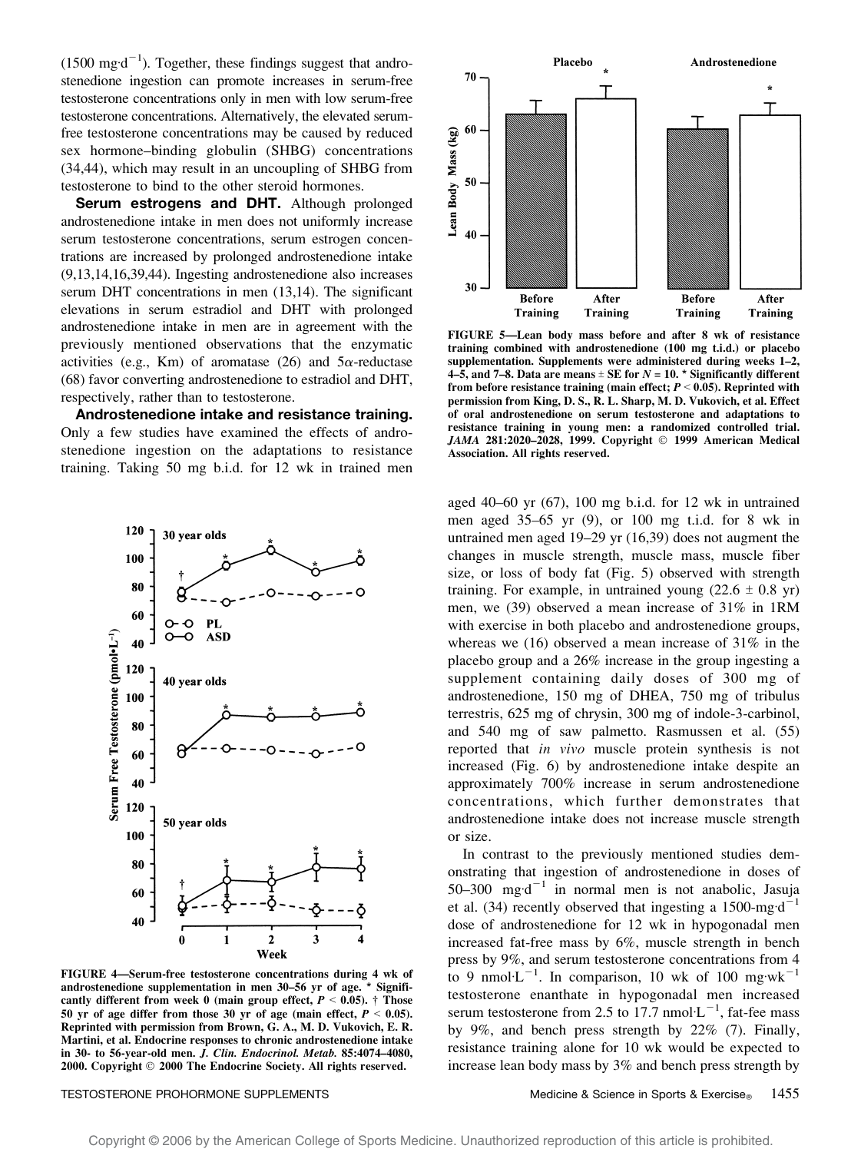$(1500 \text{ mg} \cdot \text{d}^{-1})$ . Together, these findings suggest that androstenedione ingestion can promote increases in serum-free testosterone concentrations only in men with low serum-free testosterone concentrations. Alternatively, the elevated serumfree testosterone concentrations may be caused by reduced sex hormone–binding globulin (SHBG) concentrations (34,44), which may result in an uncoupling of SHBG from testosterone to bind to the other steroid hormones.

Serum estrogens and DHT. Although prolonged androstenedione intake in men does not uniformly increase serum testosterone concentrations, serum estrogen concentrations are increased by prolonged androstenedione intake (9,13,14,16,39,44). Ingesting androstenedione also increases serum DHT concentrations in men (13,14). The significant elevations in serum estradiol and DHT with prolonged androstenedione intake in men are in agreement with the previously mentioned observations that the enzymatic activities (e.g., Km) of aromatase (26) and  $5\alpha$ -reductase (68) favor converting androstenedione to estradiol and DHT, respectively, rather than to testosterone.

Androstenedione intake and resistance training. Only a few studies have examined the effects of androstenedione ingestion on the adaptations to resistance training. Taking 50 mg b.i.d. for 12 wk in trained men



FIGURE 4—Serum-free testosterone concentrations during 4 wk of androstenedione supplementation in men 30–56 yr of age. \* Significantly different from week 0 (main group effect,  $P < 0.05$ ). *†* Those 50 yr of age differ from those 30 yr of age (main effect,  $P \le 0.05$ ). Reprinted with permission from Brown, G. A., M. D. Vukovich, E. R. Martini, et al. Endocrine responses to chronic androstenedione intake in 30- to 56-year-old men. J. Clin. Endocrinol. Metab. 85:4074–4080, 2000. Copyright © 2000 The Endocrine Society. All rights reserved.



FIGURE 5—Lean body mass before and after 8 wk of resistance training combined with androstenedione (100 mg t.i.d.) or placebo supplementation. Supplements were administered during weeks 1–2, 4–5, and 7–8. Data are means  $\pm$  SE for  $N = 10$ . \* Significantly different from before resistance training (main effect;  $P \le 0.05$ ). Reprinted with permission from King, D. S., R. L. Sharp, M. D. Vukovich, et al. Effect of oral androstenedione on serum testosterone and adaptations to resistance training in young men: a randomized controlled trial. JAMA 281:2020-2028, 1999. Copyright © 1999 American Medical Association. All rights reserved.

aged 40–60 yr (67), 100 mg b.i.d. for 12 wk in untrained men aged 35–65 yr (9), or 100 mg t.i.d. for 8 wk in untrained men aged 19–29 yr (16,39) does not augment the changes in muscle strength, muscle mass, muscle fiber size, or loss of body fat (Fig. 5) observed with strength training. For example, in untrained young  $(22.6 \pm 0.8 \text{ yr})$ men, we (39) observed a mean increase of 31% in 1RM with exercise in both placebo and androstenedione groups, whereas we (16) observed a mean increase of 31% in the placebo group and a 26% increase in the group ingesting a supplement containing daily doses of 300 mg of androstenedione, 150 mg of DHEA, 750 mg of tribulus terrestris, 625 mg of chrysin, 300 mg of indole-3-carbinol, and 540 mg of saw palmetto. Rasmussen et al. (55) reported that in vivo muscle protein synthesis is not increased (Fig. 6) by androstenedione intake despite an approximately 700% increase in serum androstenedione concentrations, which further demonstrates that androstenedione intake does not increase muscle strength or size.

In contrast to the previously mentioned studies demonstrating that ingestion of androstenedione in doses of 50–300 mg·d<sup>-1</sup> in normal men is not anabolic, Jasuja et al. (34) recently observed that ingesting a 1500-mg $d^{-1}$ dose of androstenedione for 12 wk in hypogonadal men increased fat-free mass by 6%, muscle strength in bench press by 9%, and serum testosterone concentrations from 4 to 9 nmol $L^{-1}$ . In comparison, 10 wk of 100 mg·wk<sup>-1</sup> testosterone enanthate in hypogonadal men increased serum testosterone from 2.5 to 17.7 nmol $L^{-1}$ , fat-fee mass by 9%, and bench press strength by 22% (7). Finally, resistance training alone for 10 wk would be expected to increase lean body mass by 3% and bench press strength by

Copyright @ 2006 by the American College of Sports Medicine. Unauthorized reproduction of this article is prohibited.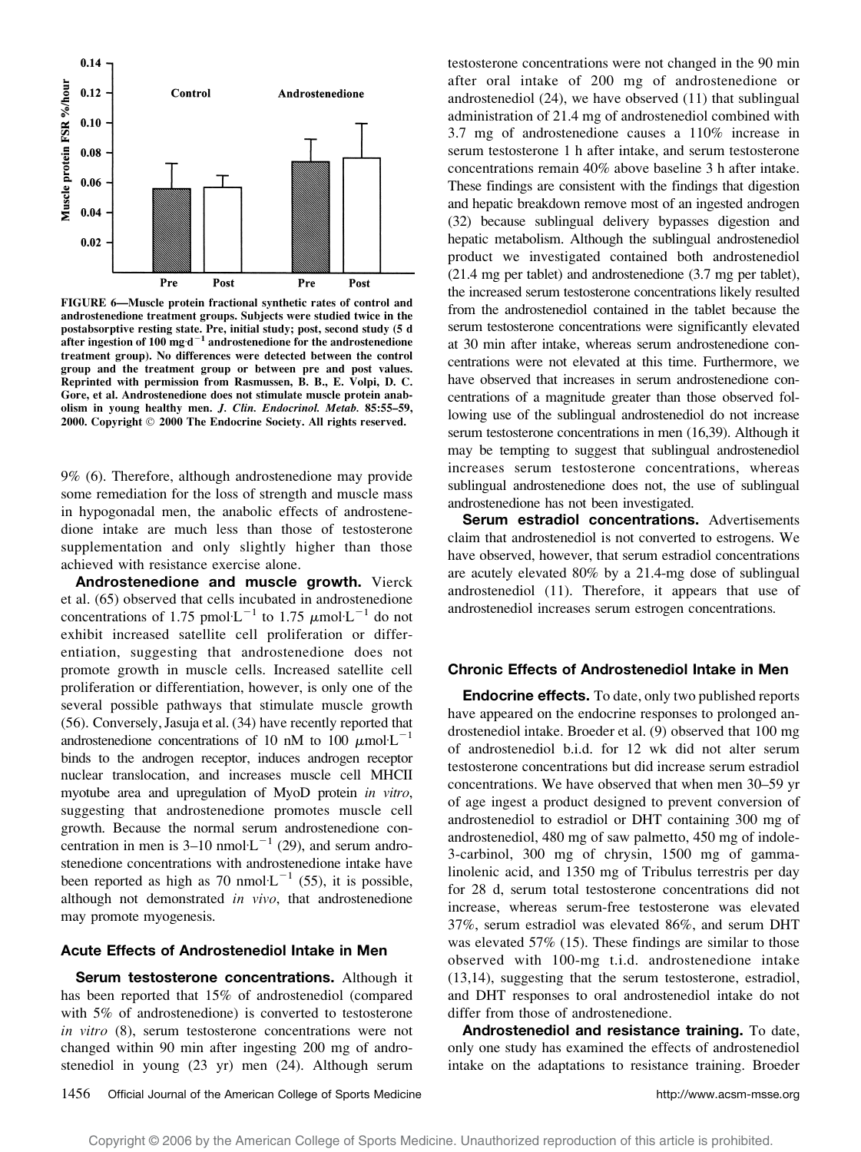

FIGURE 6—Muscle protein fractional synthetic rates of control and androstenedione treatment groups. Subjects were studied twice in the postabsorptive resting state. Pre, initial study; post, second study (5 d after ingestion of 100 mg d<sup>-1</sup> androstenedione for the androstenedione treatment group). No differences were detected between the control group and the treatment group or between pre and post values. Reprinted with permission from Rasmussen, B. B., E. Volpi, D. C. Gore, et al. Androstenedione does not stimulate muscle protein anabolism in young healthy men. J. Clin. Endocrinol. Metab. 85:55–59, 2000. Copyright © 2000 The Endocrine Society. All rights reserved.

9% (6). Therefore, although androstenedione may provide some remediation for the loss of strength and muscle mass in hypogonadal men, the anabolic effects of androstenedione intake are much less than those of testosterone supplementation and only slightly higher than those achieved with resistance exercise alone.

Androstenedione and muscle growth. Vierck et al. (65) observed that cells incubated in androstenedione concentrations of 1.75 pmol $L^{-1}$  to 1.75  $\mu$ mol $L^{-1}$  do not exhibit increased satellite cell proliferation or differentiation, suggesting that androstenedione does not promote growth in muscle cells. Increased satellite cell proliferation or differentiation, however, is only one of the several possible pathways that stimulate muscle growth (56). Conversely, Jasuja et al. (34) have recently reported that androstenedione concentrations of 10 nM to 100  $\mu$ mol·L<sup>-1</sup> binds to the androgen receptor, induces androgen receptor nuclear translocation, and increases muscle cell MHCII myotube area and upregulation of MyoD protein in vitro, suggesting that androstenedione promotes muscle cell growth. Because the normal serum androstenedione concentration in men is  $3-10$  nmol $L^{-1}$  (29), and serum androstenedione concentrations with androstenedione intake have been reported as high as 70 nmol $L^{-1}$  (55), it is possible, although not demonstrated in vivo, that androstenedione may promote myogenesis.

#### Acute Effects of Androstenediol Intake in Men

Serum testosterone concentrations. Although it has been reported that 15% of androstenediol (compared with 5% of androstenedione) is converted to testosterone in vitro (8), serum testosterone concentrations were not changed within 90 min after ingesting 200 mg of androstenediol in young (23 yr) men (24). Although serum testosterone concentrations were not changed in the 90 min after oral intake of 200 mg of androstenedione or androstenediol (24), we have observed (11) that sublingual administration of 21.4 mg of androstenediol combined with 3.7 mg of androstenedione causes a 110% increase in serum testosterone 1 h after intake, and serum testosterone concentrations remain 40% above baseline 3 h after intake. These findings are consistent with the findings that digestion and hepatic breakdown remove most of an ingested androgen (32) because sublingual delivery bypasses digestion and hepatic metabolism. Although the sublingual androstenediol product we investigated contained both androstenediol (21.4 mg per tablet) and androstenedione (3.7 mg per tablet), the increased serum testosterone concentrations likely resulted from the androstenediol contained in the tablet because the serum testosterone concentrations were significantly elevated at 30 min after intake, whereas serum androstenedione concentrations were not elevated at this time. Furthermore, we have observed that increases in serum androstenedione concentrations of a magnitude greater than those observed following use of the sublingual androstenediol do not increase serum testosterone concentrations in men (16,39). Although it may be tempting to suggest that sublingual androstenediol increases serum testosterone concentrations, whereas sublingual androstenedione does not, the use of sublingual androstenedione has not been investigated.

Serum estradiol concentrations. Advertisements claim that androstenediol is not converted to estrogens. We have observed, however, that serum estradiol concentrations are acutely elevated 80% by a 21.4-mg dose of sublingual androstenediol (11). Therefore, it appears that use of androstenediol increases serum estrogen concentrations.

#### Chronic Effects of Androstenediol Intake in Men

Endocrine effects. To date, only two published reports have appeared on the endocrine responses to prolonged androstenediol intake. Broeder et al. (9) observed that 100 mg of androstenediol b.i.d. for 12 wk did not alter serum testosterone concentrations but did increase serum estradiol concentrations. We have observed that when men 30–59 yr of age ingest a product designed to prevent conversion of androstenediol to estradiol or DHT containing 300 mg of androstenediol, 480 mg of saw palmetto, 450 mg of indole-3-carbinol, 300 mg of chrysin, 1500 mg of gammalinolenic acid, and 1350 mg of Tribulus terrestris per day for 28 d, serum total testosterone concentrations did not increase, whereas serum-free testosterone was elevated 37%, serum estradiol was elevated 86%, and serum DHT was elevated 57% (15). These findings are similar to those observed with 100-mg t.i.d. androstenedione intake (13,14), suggesting that the serum testosterone, estradiol, and DHT responses to oral androstenediol intake do not differ from those of androstenedione.

Androstenediol and resistance training. To date, only one study has examined the effects of androstenediol intake on the adaptations to resistance training. Broeder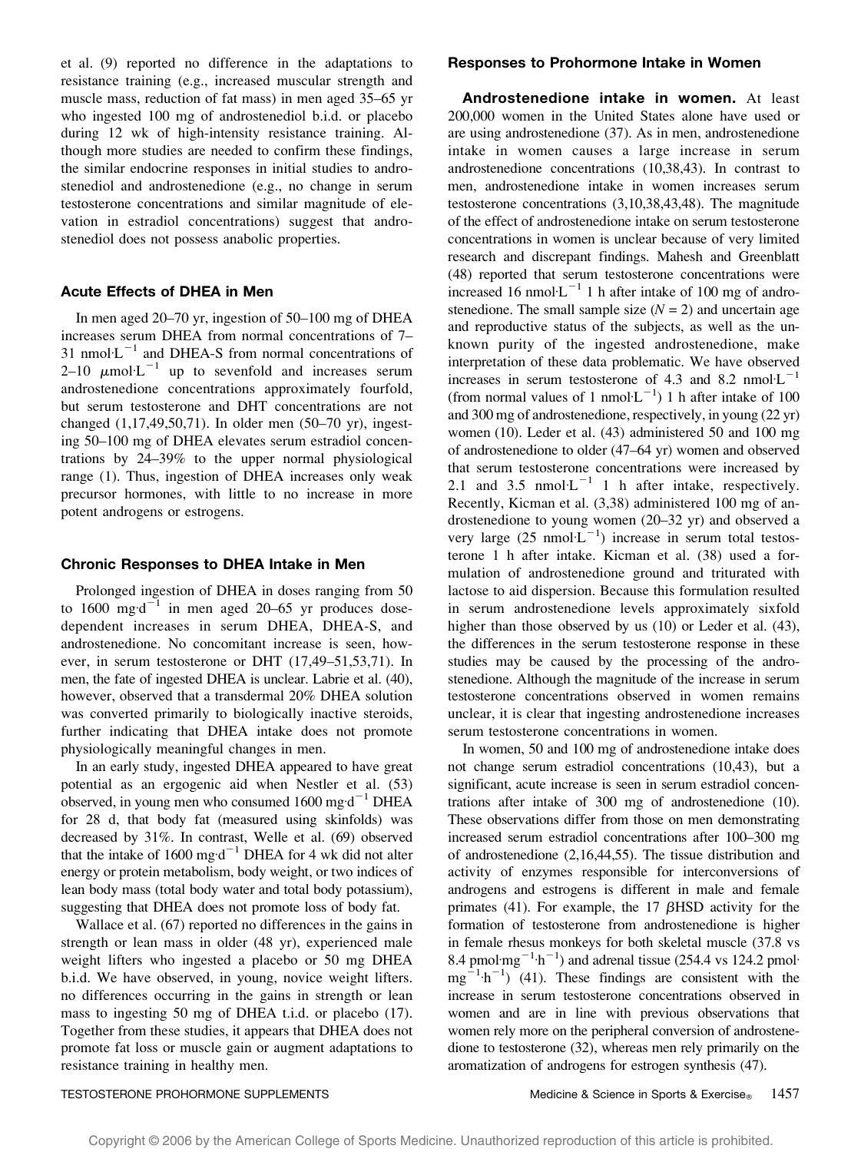et al. (9) reported no difference in the adaptations to resistance training (e.g., increased muscular strength and muscle mass, reduction of fat mass) in men aged 35–65 yr who ingested 100 mg of androstenediol b.i.d. or placebo during 12 wk of high-intensity resistance training. Although more studies are needed to confirm these findings, the similar endocrine responses in initial studies to androstenediol and androstenedione (e.g., no change in serum testosterone concentrations and similar magnitude of elevation in estradiol concentrations) suggest that androstenediol does not possess anabolic properties.

#### Acute Effects of DHEA in Men

In men aged 20–70 yr, ingestion of 50–100 mg of DHEA increases serum DHEA from normal concentrations of 7– 31 nmol $L^{-1}$  and DHEA-S from normal concentrations of 2–10  $\mu$ mol·L<sup>-1</sup> up to sevenfold and increases serum androstenedione concentrations approximately fourfold, but serum testosterone and DHT concentrations are not changed (1,17,49,50,71). In older men (50–70 yr), ingesting 50–100 mg of DHEA elevates serum estradiol concentrations by 24–39% to the upper normal physiological range (1). Thus, ingestion of DHEA increases only weak precursor hormones, with little to no increase in more potent androgens or estrogens.

#### Chronic Responses to DHEA Intake in Men

Prolonged ingestion of DHEA in doses ranging from 50 to  $1600 \text{ mg} \cdot d^{-1}$  in men aged 20–65 yr produces dosedependent increases in serum DHEA, DHEA-S, and androstenedione. No concomitant increase is seen, however, in serum testosterone or DHT (17,49–51,53,71). In men, the fate of ingested DHEA is unclear. Labrie et al. (40), however, observed that a transdermal 20% DHEA solution was converted primarily to biologically inactive steroids, further indicating that DHEA intake does not promote physiologically meaningful changes in men.

In an early study, ingested DHEA appeared to have great potential as an ergogenic aid when Nestler et al. (53) observed, in young men who consumed  $1600 \text{ mg} \cdot d^{-1}$  DHEA for 28 d, that body fat (measured using skinfolds) was decreased by 31%. In contrast, Welle et al. (69) observed that the intake of 1600 mg·d<sup>-1</sup> DHEA for 4 wk did not alter energy or protein metabolism, body weight, or two indices of lean body mass (total body water and total body potassium), suggesting that DHEA does not promote loss of body fat.

Wallace et al. (67) reported no differences in the gains in strength or lean mass in older (48 yr), experienced male weight lifters who ingested a placebo or 50 mg DHEA b.i.d. We have observed, in young, novice weight lifters. no differences occurring in the gains in strength or lean mass to ingesting 50 mg of DHEA t.i.d. or placebo (17). Together from these studies, it appears that DHEA does not promote fat loss or muscle gain or augment adaptations to resistance training in healthy men.

#### Responses to Prohormone Intake in Women

Androstenedione intake in women. At least 200,000 women in the United States alone have used or are using androstenedione (37). As in men, androstenedione intake in women causes a large increase in serum androstenedione concentrations (10,38,43). In contrast to men, androstenedione intake in women increases serum testosterone concentrations (3,10,38,43,48). The magnitude of the effect of androstenedione intake on serum testosterone concentrations in women is unclear because of very limited research and discrepant findings. Mahesh and Greenblatt (48) reported that serum testosterone concentrations were increased 16 nmol $L^{-1}$  1 h after intake of 100 mg of androstenedione. The small sample size  $(N = 2)$  and uncertain age and reproductive status of the subjects, as well as the unknown purity of the ingested androstenedione, make interpretation of these data problematic. We have observed increases in serum testosterone of 4.3 and 8.2 nmol $L^{-1}$ (from normal values of 1 nmol $L^{-1}$ ) 1 h after intake of 100 and 300 mg of androstenedione, respectively, in young (22 yr) women (10). Leder et al. (43) administered 50 and 100 mg of androstenedione to older (47–64 yr) women and observed that serum testosterone concentrations were increased by 2.1 and 3.5  $nmol \text{L}^{-1}$  1 h after intake, respectively. Recently, Kicman et al. (3,38) administered 100 mg of androstenedione to young women (20–32 yr) and observed a very large  $(25 \text{ nmol·L}^{-1})$  increase in serum total testosterone 1 h after intake. Kicman et al. (38) used a formulation of androstenedione ground and triturated with lactose to aid dispersion. Because this formulation resulted in serum androstenedione levels approximately sixfold higher than those observed by us (10) or Leder et al. (43), the differences in the serum testosterone response in these studies may be caused by the processing of the androstenedione. Although the magnitude of the increase in serum testosterone concentrations observed in women remains unclear, it is clear that ingesting androstenedione increases serum testosterone concentrations in women.

In women, 50 and 100 mg of androstenedione intake does not change serum estradiol concentrations (10,43), but a significant, acute increase is seen in serum estradiol concentrations after intake of 300 mg of androstenedione (10). These observations differ from those on men demonstrating increased serum estradiol concentrations after 100–300 mg of androstenedione (2,16,44,55). The tissue distribution and activity of enzymes responsible for interconversions of androgens and estrogens is different in male and female primates (41). For example, the  $17 \beta$ HSD activity for the formation of testosterone from androstenedione is higher in female rhesus monkeys for both skeletal muscle (37.8 vs 8.4 pmol·mg<sup>-1</sup>·h<sup>-1</sup>) and adrenal tissue (254.4 vs 124.2 pmol·  $mg^{-1}$ ·h<sup>-1</sup>) (41). These findings are consistent with the increase in serum testosterone concentrations observed in women and are in line with previous observations that women rely more on the peripheral conversion of androstenedione to testosterone (32), whereas men rely primarily on the aromatization of androgens for estrogen synthesis (47).

#### TESTOSTERONE PROHORMONE SUPPLEMENTS  $\overline{\phantom{a}}$  Medicine & Science in Sports & Exercise<sub>®</sub> 1457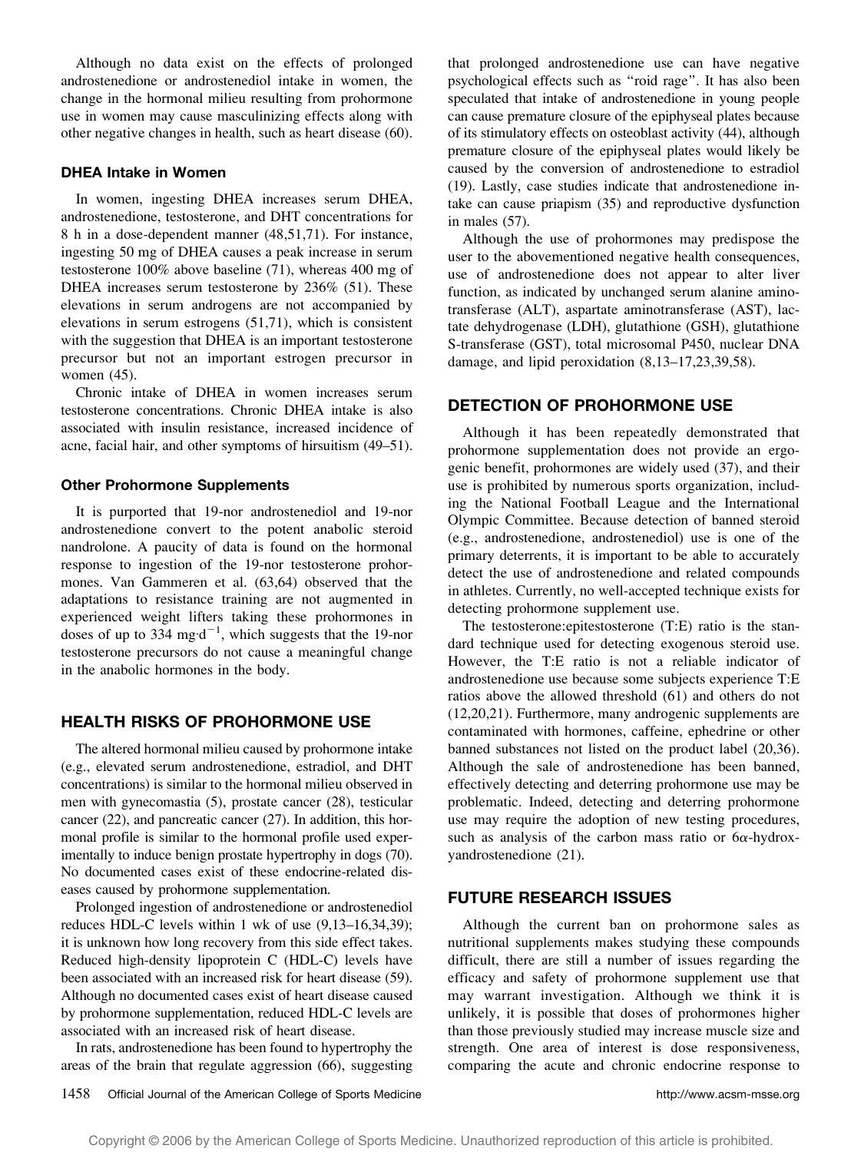Although no data exist on the effects of prolonged androstenedione or androstenediol intake in women, the change in the hormonal milieu resulting from prohormone use in women may cause masculinizing effects along with other negative changes in health, such as heart disease (60).

#### DHEA Intake in Women

In women, ingesting DHEA increases serum DHEA, androstenedione, testosterone, and DHT concentrations for 8 h in a dose-dependent manner (48,51,71). For instance, ingesting 50 mg of DHEA causes a peak increase in serum testosterone 100% above baseline (71), whereas 400 mg of DHEA increases serum testosterone by 236% (51). These elevations in serum androgens are not accompanied by elevations in serum estrogens (51,71), which is consistent with the suggestion that DHEA is an important testosterone precursor but not an important estrogen precursor in women (45).

Chronic intake of DHEA in women increases serum testosterone concentrations. Chronic DHEA intake is also associated with insulin resistance, increased incidence of acne, facial hair, and other symptoms of hirsuitism (49–51).

### Other Prohormone Supplements

It is purported that 19-nor androstenediol and 19-nor androstenedione convert to the potent anabolic steroid nandrolone. A paucity of data is found on the hormonal response to ingestion of the 19-nor testosterone prohormones. Van Gammeren et al. (63,64) observed that the adaptations to resistance training are not augmented in experienced weight lifters taking these prohormones in doses of up to 334 mg·d<sup>-1</sup>, which suggests that the 19-nor testosterone precursors do not cause a meaningful change in the anabolic hormones in the body.

## HEALTH RISKS OF PROHORMONE USE

The altered hormonal milieu caused by prohormone intake (e.g., elevated serum androstenedione, estradiol, and DHT concentrations) is similar to the hormonal milieu observed in men with gynecomastia (5), prostate cancer (28), testicular cancer (22), and pancreatic cancer (27). In addition, this hormonal profile is similar to the hormonal profile used experimentally to induce benign prostate hypertrophy in dogs (70). No documented cases exist of these endocrine-related diseases caused by prohormone supplementation.

Prolonged ingestion of androstenedione or androstenediol reduces HDL-C levels within 1 wk of use (9,13–16,34,39); it is unknown how long recovery from this side effect takes. Reduced high-density lipoprotein C (HDL-C) levels have been associated with an increased risk for heart disease (59). Although no documented cases exist of heart disease caused by prohormone supplementation, reduced HDL-C levels are associated with an increased risk of heart disease.

In rats, androstenedione has been found to hypertrophy the areas of the brain that regulate aggression (66), suggesting that prolonged androstenedione use can have negative psychological effects such as ''roid rage''. It has also been speculated that intake of androstenedione in young people can cause premature closure of the epiphyseal plates because of its stimulatory effects on osteoblast activity (44), although premature closure of the epiphyseal plates would likely be caused by the conversion of androstenedione to estradiol (19). Lastly, case studies indicate that androstenedione intake can cause priapism (35) and reproductive dysfunction in males (57).

Although the use of prohormones may predispose the user to the abovementioned negative health consequences, use of androstenedione does not appear to alter liver function, as indicated by unchanged serum alanine aminotransferase (ALT), aspartate aminotransferase (AST), lactate dehydrogenase (LDH), glutathione (GSH), glutathione S-transferase (GST), total microsomal P450, nuclear DNA damage, and lipid peroxidation (8,13–17,23,39,58).

# DETECTION OF PROHORMONE USE

Although it has been repeatedly demonstrated that prohormone supplementation does not provide an ergogenic benefit, prohormones are widely used (37), and their use is prohibited by numerous sports organization, including the National Football League and the International Olympic Committee. Because detection of banned steroid (e.g., androstenedione, androstenediol) use is one of the primary deterrents, it is important to be able to accurately detect the use of androstenedione and related compounds in athletes. Currently, no well-accepted technique exists for detecting prohormone supplement use.

The testosterone:epitestosterone (T:E) ratio is the standard technique used for detecting exogenous steroid use. However, the T:E ratio is not a reliable indicator of androstenedione use because some subjects experience T:E ratios above the allowed threshold (61) and others do not (12,20,21). Furthermore, many androgenic supplements are contaminated with hormones, caffeine, ephedrine or other banned substances not listed on the product label (20,36). Although the sale of androstenedione has been banned, effectively detecting and deterring prohormone use may be problematic. Indeed, detecting and deterring prohormone use may require the adoption of new testing procedures, such as analysis of the carbon mass ratio or  $6\alpha$ -hydroxyandrostenedione (21).

# FUTURE RESEARCH ISSUES

Although the current ban on prohormone sales as nutritional supplements makes studying these compounds difficult, there are still a number of issues regarding the efficacy and safety of prohormone supplement use that may warrant investigation. Although we think it is unlikely, it is possible that doses of prohormones higher than those previously studied may increase muscle size and strength. One area of interest is dose responsiveness, comparing the acute and chronic endocrine response to

1458 Official Journal of the American College of Sports Medicine http://www.acsm-msse.org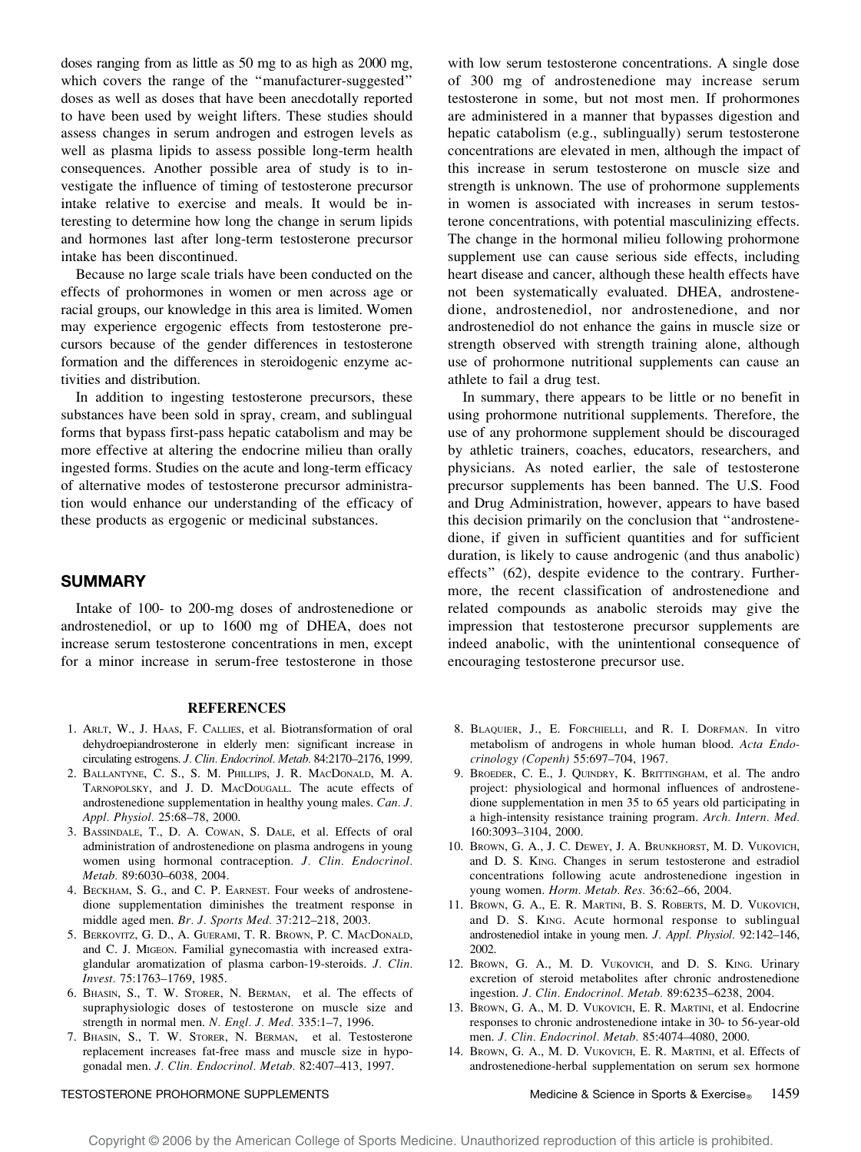doses ranging from as little as 50 mg to as high as 2000 mg, which covers the range of the ''manufacturer-suggested'' doses as well as doses that have been anecdotally reported to have been used by weight lifters. These studies should assess changes in serum androgen and estrogen levels as well as plasma lipids to assess possible long-term health consequences. Another possible area of study is to investigate the influence of timing of testosterone precursor intake relative to exercise and meals. It would be interesting to determine how long the change in serum lipids and hormones last after long-term testosterone precursor intake has been discontinued.

Because no large scale trials have been conducted on the effects of prohormones in women or men across age or racial groups, our knowledge in this area is limited. Women may experience ergogenic effects from testosterone precursors because of the gender differences in testosterone formation and the differences in steroidogenic enzyme activities and distribution.

In addition to ingesting testosterone precursors, these substances have been sold in spray, cream, and sublingual forms that bypass first-pass hepatic catabolism and may be more effective at altering the endocrine milieu than orally ingested forms. Studies on the acute and long-term efficacy of alternative modes of testosterone precursor administration would enhance our understanding of the efficacy of these products as ergogenic or medicinal substances.

### SUMMARY

Intake of 100- to 200-mg doses of androstenedione or androstenediol, or up to 1600 mg of DHEA, does not increase serum testosterone concentrations in men, except for a minor increase in serum-free testosterone in those

#### **REFERENCES**

- 1. ARLT, W., J. HAAS, F. CALLIES, et al. Biotransformation of oral dehydroepiandrosterone in elderly men: significant increase in circulating estrogens. J. Clin. Endocrinol. Metab. 84:2170–2176, 1999.
- 2. BALLANTYNE, C. S., S. M. PHILLIPS, J. R. MACDONALD, M. A. TARNOPOLSKY, and J. D. MACDOUGALL. The acute effects of androstenedione supplementation in healthy young males. Can. J. Appl. Physiol. 25:68–78, 2000.
- 3. BASSINDALE, T., D. A. COWAN, S. DALE, et al. Effects of oral administration of androstenedione on plasma androgens in young women using hormonal contraception. J. Clin. Endocrinol. Metab. 89:6030–6038, 2004.
- 4. BECKHAM, S. G., and C. P. EARNEST. Four weeks of androstenedione supplementation diminishes the treatment response in middle aged men. Br. J. Sports Med. 37:212–218, 2003.
- 5. BERKOVITZ, G. D., A. GUERAMI, T. R. BROWN, P. C. MACDONALD, and C. J. MIGEON. Familial gynecomastia with increased extraglandular aromatization of plasma carbon-19-steroids. J. Clin. Invest. 75:1763–1769, 1985.
- 6. BHASIN, S., T. W. STORER, N. BERMAN, et al. The effects of supraphysiologic doses of testosterone on muscle size and strength in normal men. N. Engl. J. Med. 335:1–7, 1996.
- 7. BHASIN, S., T. W. STORER, N. BERMAN, et al. Testosterone replacement increases fat-free mass and muscle size in hypogonadal men. J. Clin. Endocrinol. Metab. 82:407–413, 1997.

with low serum testosterone concentrations. A single dose of 300 mg of androstenedione may increase serum testosterone in some, but not most men. If prohormones are administered in a manner that bypasses digestion and hepatic catabolism (e.g., sublingually) serum testosterone concentrations are elevated in men, although the impact of this increase in serum testosterone on muscle size and strength is unknown. The use of prohormone supplements in women is associated with increases in serum testosterone concentrations, with potential masculinizing effects. The change in the hormonal milieu following prohormone supplement use can cause serious side effects, including heart disease and cancer, although these health effects have not been systematically evaluated. DHEA, androstenedione, androstenediol, nor androstenedione, and nor androstenediol do not enhance the gains in muscle size or strength observed with strength training alone, although use of prohormone nutritional supplements can cause an athlete to fail a drug test.

In summary, there appears to be little or no benefit in using prohormone nutritional supplements. Therefore, the use of any prohormone supplement should be discouraged by athletic trainers, coaches, educators, researchers, and physicians. As noted earlier, the sale of testosterone precursor supplements has been banned. The U.S. Food and Drug Administration, however, appears to have based this decision primarily on the conclusion that ''androstenedione, if given in sufficient quantities and for sufficient duration, is likely to cause androgenic (and thus anabolic) effects'' (62), despite evidence to the contrary. Furthermore, the recent classification of androstenedione and related compounds as anabolic steroids may give the impression that testosterone precursor supplements are indeed anabolic, with the unintentional consequence of encouraging testosterone precursor use.

- 8. BLAQUIER, J., E. FORCHIELLI, and R. I. DORFMAN. In vitro metabolism of androgens in whole human blood. Acta Endocrinology (Copenh) 55:697–704, 1967.
- 9. BROEDER, C. E., J. QUINDRY, K. BRITTINGHAM, et al. The andro project: physiological and hormonal influences of androstenedione supplementation in men 35 to 65 years old participating in a high-intensity resistance training program. Arch. Intern. Med. 160:3093–3104, 2000.
- 10. BROWN, G. A., J. C. DEWEY, J. A. BRUNKHORST, M. D. VUKOVICH, and D. S. KING. Changes in serum testosterone and estradiol concentrations following acute androstenedione ingestion in young women. Horm. Metab. Res. 36:62–66, 2004.
- 11. BROWN, G. A., E. R. MARTINI, B. S. ROBERTS, M. D. VUKOVICH, and D. S. KING. Acute hormonal response to sublingual androstenediol intake in young men. J. Appl. Physiol. 92:142–146, 2002.
- 12. BROWN, G. A., M. D. VUKOVICH, and D. S. KING. Urinary excretion of steroid metabolites after chronic androstenedione ingestion. J. Clin. Endocrinol. Metab. 89:6235–6238, 2004.
- 13. BROWN, G. A., M. D. VUKOVICH, E. R. MARTINI, et al. Endocrine responses to chronic androstenedione intake in 30- to 56-year-old men. J. Clin. Endocrinol. Metab. 85:4074–4080, 2000.
- 14. BROWN, G. A., M. D. VUKOVICH, E. R. MARTINI, et al. Effects of androstenedione-herbal supplementation on serum sex hormone

TESTOSTERONE PROHORMONE SUPPLEMENTS TEST ON A Medicine & Science in Sports & Exercise<sub>®</sub> 1459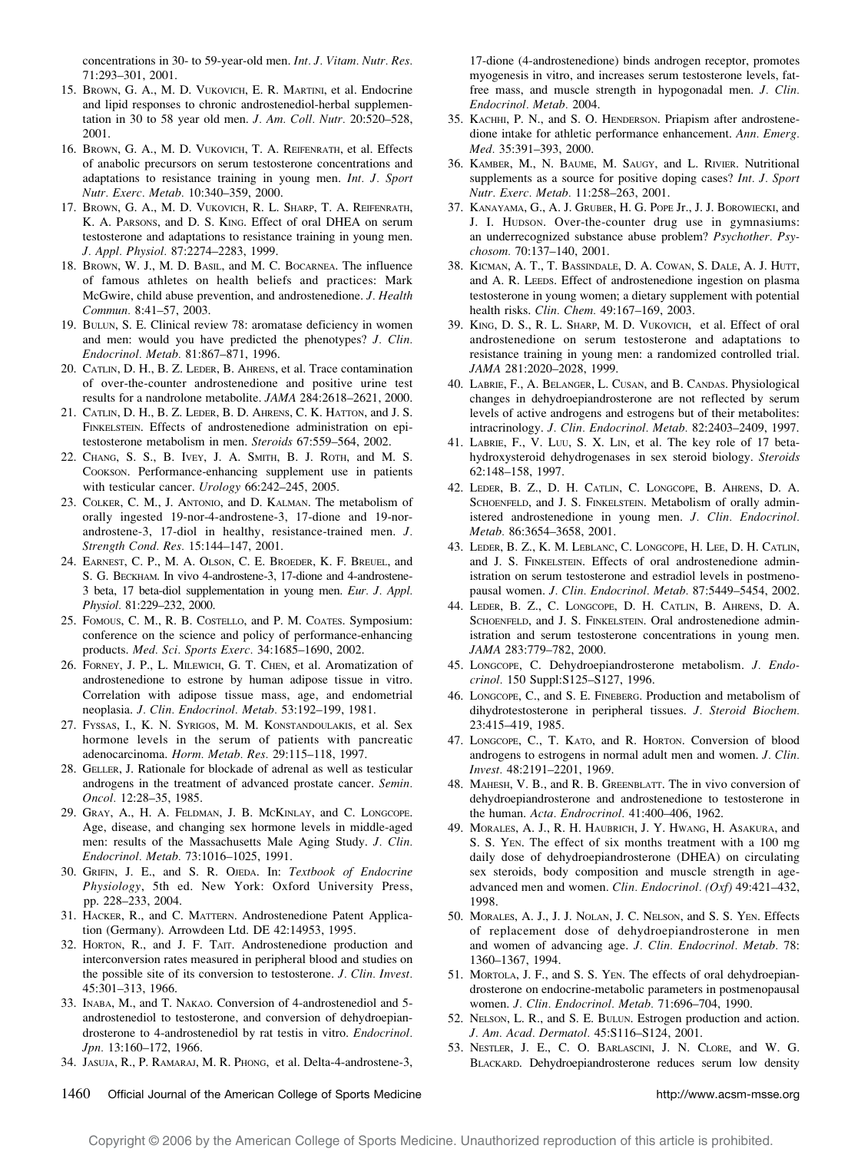concentrations in 30- to 59-year-old men. Int. J. Vitam. Nutr. Res. 71:293–301, 2001.

- 15. BROWN, G. A., M. D. VUKOVICH, E. R. MARTINI, et al. Endocrine and lipid responses to chronic androstenediol-herbal supplementation in 30 to 58 year old men. J. Am. Coll. Nutr. 20:520–528, 2001.
- 16. BROWN, G. A., M. D. VUKOVICH, T. A. REIFENRATH, et al. Effects of anabolic precursors on serum testosterone concentrations and adaptations to resistance training in young men. Int. J. Sport Nutr. Exerc. Metab. 10:340–359, 2000.
- 17. BROWN, G. A., M. D. VUKOVICH, R. L. SHARP, T. A. REIFENRATH, K. A. PARSONS, and D. S. KING. Effect of oral DHEA on serum testosterone and adaptations to resistance training in young men. J. Appl. Physiol. 87:2274–2283, 1999.
- 18. BROWN, W. J., M. D. BASIL, and M. C. BOCARNEA. The influence of famous athletes on health beliefs and practices: Mark McGwire, child abuse prevention, and androstenedione. J. Health Commun. 8:41–57, 2003.
- 19. BULUN, S. E. Clinical review 78: aromatase deficiency in women and men: would you have predicted the phenotypes? J. Clin. Endocrinol. Metab. 81:867–871, 1996.
- 20. CATLIN, D. H., B. Z. LEDER, B. AHRENS, et al. Trace contamination of over-the-counter androstenedione and positive urine test results for a nandrolone metabolite. JAMA 284:2618–2621, 2000.
- 21. CATLIN, D. H., B. Z. LEDER, B. D. AHRENS, C. K. HATTON, and J. S. FINKELSTEIN. Effects of androstenedione administration on epitestosterone metabolism in men. Steroids 67:559–564, 2002.
- 22. CHANG, S. S., B. IVEY, J. A. SMITH, B. J. ROTH, and M. S. COOKSON. Performance-enhancing supplement use in patients with testicular cancer. Urology 66:242–245, 2005.
- 23. COLKER, C. M., J. ANTONIO, and D. KALMAN. The metabolism of orally ingested 19-nor-4-androstene-3, 17-dione and 19-norandrostene-3, 17-diol in healthy, resistance-trained men. J. Strength Cond. Res. 15:144–147, 2001.
- 24. EARNEST, C. P., M. A. OLSON, C. E. BROEDER, K. F. BREUEL, and S. G. BECKHAM. In vivo 4-androstene-3, 17-dione and 4-androstene-3 beta, 17 beta-diol supplementation in young men. Eur. J. Appl. Physiol. 81:229–232, 2000.
- 25. FOMOUS, C. M., R. B. COSTELLO, and P. M. COATES. Symposium: conference on the science and policy of performance-enhancing products. Med. Sci. Sports Exerc. 34:1685–1690, 2002.
- 26. FORNEY, J. P., L. MILEWICH, G. T. CHEN, et al. Aromatization of androstenedione to estrone by human adipose tissue in vitro. Correlation with adipose tissue mass, age, and endometrial neoplasia. J. Clin. Endocrinol. Metab. 53:192–199, 1981.
- 27. FYSSAS, I., K. N. SYRIGOS, M. M. KONSTANDOULAKIS, et al. Sex hormone levels in the serum of patients with pancreatic adenocarcinoma. Horm. Metab. Res. 29:115–118, 1997.
- 28. GELLER, J. Rationale for blockade of adrenal as well as testicular androgens in the treatment of advanced prostate cancer. Semin. Oncol. 12:28–35, 1985.
- 29. GRAY, A., H. A. FELDMAN, J. B. MCKINLAY, and C. LONGCOPE. Age, disease, and changing sex hormone levels in middle-aged men: results of the Massachusetts Male Aging Study. J. Clin. Endocrinol. Metab. 73:1016–1025, 1991.
- 30. GRIFIN, J. E., and S. R. OJEDA. In: Textbook of Endocrine Physiology, 5th ed. New York: Oxford University Press, pp. 228–233, 2004.
- 31. HACKER, R., and C. MATTERN. Androstenedione Patent Application (Germany). Arrowdeen Ltd. DE 42:14953, 1995.
- 32. HORTON, R., and J. F. TAIT. Androstenedione production and interconversion rates measured in peripheral blood and studies on the possible site of its conversion to testosterone. J. Clin. Invest. 45:301–313, 1966.
- 33. INABA, M., and T. NAKAO. Conversion of 4-androstenediol and 5 androstenediol to testosterone, and conversion of dehydroepiandrosterone to 4-androstenediol by rat testis in vitro. Endocrinol. Jpn. 13:160–172, 1966.
- 34. JASUJA, R., P. RAMARAJ, M. R. PHONG, et al. Delta-4-androstene-3,

17-dione (4-androstenedione) binds androgen receptor, promotes myogenesis in vitro, and increases serum testosterone levels, fatfree mass, and muscle strength in hypogonadal men. J. Clin. Endocrinol. Metab. 2004.

- 35. KACHHI, P. N., and S. O. HENDERSON. Priapism after androstenedione intake for athletic performance enhancement. Ann. Emerg. Med. 35:391–393, 2000.
- 36. KAMBER, M., N. BAUME, M. SAUGY, and L. RIVIER. Nutritional supplements as a source for positive doping cases? Int. J. Sport Nutr. Exerc. Metab. 11:258–263, 2001.
- 37. KANAYAMA, G., A. J. GRUBER, H. G. POPE Jr., J. J. BOROWIECKI, and J. I. HUDSON. Over-the-counter drug use in gymnasiums: an underrecognized substance abuse problem? Psychother. Psychosom. 70:137–140, 2001.
- 38. KICMAN, A. T., T. BASSINDALE, D. A. COWAN, S. DALE, A. J. HUTT, and A. R. LEEDS. Effect of androstenedione ingestion on plasma testosterone in young women; a dietary supplement with potential health risks. Clin. Chem. 49:167–169, 2003.
- 39. KING, D. S., R. L. SHARP, M. D. VUKOVICH, et al. Effect of oral androstenedione on serum testosterone and adaptations to resistance training in young men: a randomized controlled trial. JAMA 281:2020–2028, 1999.
- 40. LABRIE, F., A. BELANGER, L. CUSAN, and B. CANDAS. Physiological changes in dehydroepiandrosterone are not reflected by serum levels of active androgens and estrogens but of their metabolites: intracrinology. J. Clin. Endocrinol. Metab. 82:2403–2409, 1997.
- 41. LABRIE, F., V. LUU, S. X. LIN, et al. The key role of 17 betahydroxysteroid dehydrogenases in sex steroid biology. Steroids 62:148–158, 1997.
- 42. LEDER, B. Z., D. H. CATLIN, C. LONGCOPE, B. AHRENS, D. A. SCHOENFELD, and J. S. FINKELSTEIN. Metabolism of orally administered androstenedione in young men. J. Clin. Endocrinol. Metab. 86:3654–3658, 2001.
- 43. LEDER, B. Z., K. M. LEBLANC, C. LONGCOPE, H. LEE, D. H. CATLIN, and J. S. FINKELSTEIN. Effects of oral androstenedione administration on serum testosterone and estradiol levels in postmenopausal women. J. Clin. Endocrinol. Metab. 87:5449-5454, 2002.
- 44. LEDER, B. Z., C. LONGCOPE, D. H. CATLIN, B. AHRENS, D. A. SCHOENFELD, and J. S. FINKELSTEIN. Oral androstenedione administration and serum testosterone concentrations in young men. JAMA 283:779–782, 2000.
- 45. LONGCOPE, C. Dehydroepiandrosterone metabolism. J. Endocrinol. 150 Suppl:S125–S127, 1996.
- 46. LONGCOPE, C., and S. E. FINEBERG. Production and metabolism of dihydrotestosterone in peripheral tissues. J. Steroid Biochem. 23:415–419, 1985.
- 47. LONGCOPE, C., T. KATO, and R. HORTON. Conversion of blood androgens to estrogens in normal adult men and women. J. Clin. Invest. 48:2191–2201, 1969.
- 48. MAHESH, V. B., and R. B. GREENBLATT. The in vivo conversion of dehydroepiandrosterone and androstenedione to testosterone in the human. Acta. Endrocrinol. 41:400–406, 1962.
- 49. MORALES, A. J., R. H. HAUBRICH, J. Y. HWANG, H. ASAKURA, and S. S. YEN. The effect of six months treatment with a 100 mg daily dose of dehydroepiandrosterone (DHEA) on circulating sex steroids, body composition and muscle strength in ageadvanced men and women. Clin. Endocrinol. (Oxf) 49:421–432, 1998.
- 50. MORALES, A. J., J. J. NOLAN, J. C. NELSON, and S. S. YEN. Effects of replacement dose of dehydroepiandrosterone in men and women of advancing age. J. Clin. Endocrinol. Metab. 78: 1360–1367, 1994.
- 51. MORTOLA, J. F., and S. S. YEN. The effects of oral dehydroepiandrosterone on endocrine-metabolic parameters in postmenopausal women. J. Clin. Endocrinol. Metab. 71:696–704, 1990.
- 52. NELSON, L. R., and S. E. BULUN. Estrogen production and action. J. Am. Acad. Dermatol. 45:S116–S124, 2001.
- 53. NESTLER, J. E., C. O. BARLASCINI, J. N. CLORE, and W. G. BLACKARD. Dehydroepiandrosterone reduces serum low density